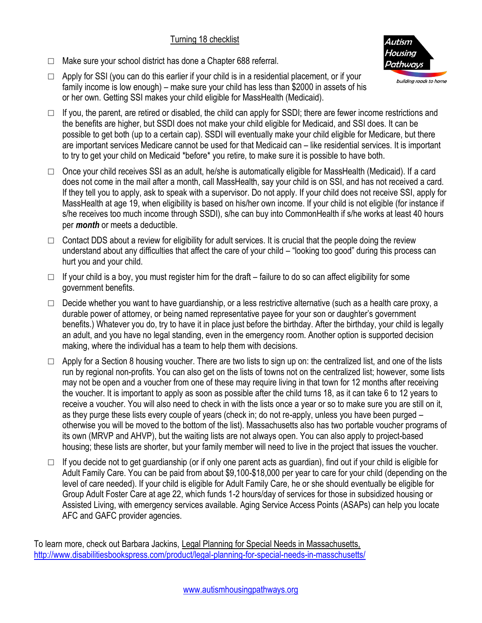## Turning 18 checklist



- □ Make sure your school district has done a Chapter 688 referral.
- $\Box$  Apply for SSI (you can do this earlier if your child is in a residential placement, or if your family income is low enough) – make sure your child has less than \$2000 in assets of his or her own. Getting SSI makes your child eligible for MassHealth (Medicaid).
- $\Box$  If you, the parent, are retired or disabled, the child can apply for SSDI; there are fewer income restrictions and the benefits are higher, but SSDI does not make your child eligible for Medicaid, and SSI does. It can be possible to get both (up to a certain cap). SSDI will eventually make your child eligible for Medicare, but there are important services Medicare cannot be used for that Medicaid can – like residential services. It is important to try to get your child on Medicaid \*before\* you retire, to make sure it is possible to have both.
- $\Box$  Once your child receives SSI as an adult, he/she is automatically eligible for MassHealth (Medicaid). If a card does not come in the mail after a month, call MassHealth, say your child is on SSI, and has not received a card. If they tell you to apply, ask to speak with a supervisor. Do not apply. If your child does not receive SSI, apply for MassHealth at age 19, when eligibility is based on his/her own income. If your child is not eligible (for instance if s/he receives too much income through SSDI), s/he can buy into CommonHealth if s/he works at least 40 hours per *month* or meets a deductible.
- $\Box$  Contact DDS about a review for eligibility for adult services. It is crucial that the people doing the review understand about any difficulties that affect the care of your child – "looking too good" during this process can hurt you and your child.
- $\Box$  If your child is a boy, you must register him for the draft failure to do so can affect eligibility for some government benefits.
- $\Box$  Decide whether you want to have quardianship, or a less restrictive alternative (such as a health care proxy, a durable power of attorney, or being named representative payee for your son or daughter's government benefits.) Whatever you do, try to have it in place just before the birthday. After the birthday, your child is legally an adult, and you have no legal standing, even in the emergency room. Another option is supported decision making, where the individual has a team to help them with decisions.
- $\Box$  Apply for a Section 8 housing voucher. There are two lists to sign up on: the centralized list, and one of the lists run by regional non-profits. You can also get on the lists of towns not on the centralized list; however, some lists may not be open and a voucher from one of these may require living in that town for 12 months after receiving the voucher. It is important to apply as soon as possible after the child turns 18, as it can take 6 to 12 years to receive a voucher. You will also need to check in with the lists once a year or so to make sure you are still on it, as they purge these lists every couple of years (check in; do not re-apply, unless you have been purged – otherwise you will be moved to the bottom of the list). Massachusetts also has two portable voucher programs of its own (MRVP and AHVP), but the waiting lists are not always open. You can also apply to project-based housing; these lists are shorter, but your family member will need to live in the project that issues the voucher.
- $\Box$  If you decide not to get guardianship (or if only one parent acts as guardian), find out if your child is eligible for Adult Family Care. You can be paid from about \$9,100-\$18,000 per year to care for your child (depending on the level of care needed). If your child is eligible for Adult Family Care, he or she should eventually be eligible for Group Adult Foster Care at age 22, which funds 1-2 hours/day of services for those in subsidized housing or Assisted Living, with emergency services available. Aging Service Access Points (ASAPs) can help you locate AFC and GAFC provider agencies.

To learn more, check out Barbara Jackins, Legal Planning for Special Needs in Massachusetts, <http://www.disabilitiesbookspress.com/product/legal-planning-for-special-needs-in-masschusetts/>